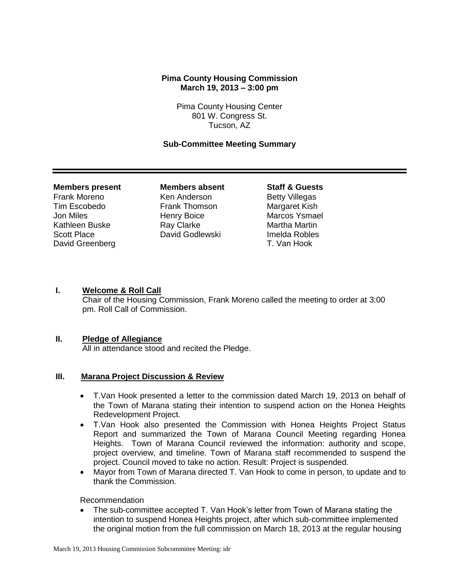## **Pima County Housing Commission March 19, 2013 – 3:00 pm**

Pima County Housing Center 801 W. Congress St. Tucson, AZ

### **Sub-Committee Meeting Summary**

#### **Members present Members absent Staff & Guests**

David Greenberg T. Van Hook

Frank Moreno **Ken Anderson** Betty Villegas Tim Escobedo Frank Thomson Margaret Kish Jon Miles **Henry Boice** Marcos Ysmael Kathleen Buske **Ray Clarke** Martha Martin Scott Place **David Godlewski** Imelda Robles

## **I. Welcome & Roll Call**

Chair of the Housing Commission, Frank Moreno called the meeting to order at 3:00 pm. Roll Call of Commission.

### **II. Pledge of Allegiance**

All in attendance stood and recited the Pledge.

## **III. Marana Project Discussion & Review**

- T.Van Hook presented a letter to the commission dated March 19, 2013 on behalf of the Town of Marana stating their intention to suspend action on the Honea Heights Redevelopment Project.
- T.Van Hook also presented the Commission with Honea Heights Project Status Report and summarized the Town of Marana Council Meeting regarding Honea Heights. Town of Marana Council reviewed the information: authority and scope, project overview, and timeline. Town of Marana staff recommended to suspend the project. Council moved to take no action. Result: Project is suspended.
- Mayor from Town of Marana directed T. Van Hook to come in person, to update and to thank the Commission.

Recommendation

 The sub-committee accepted T. Van Hook's letter from Town of Marana stating the intention to suspend Honea Heights project, after which sub-committee implemented the original motion from the full commission on March 18, 2013 at the regular housing